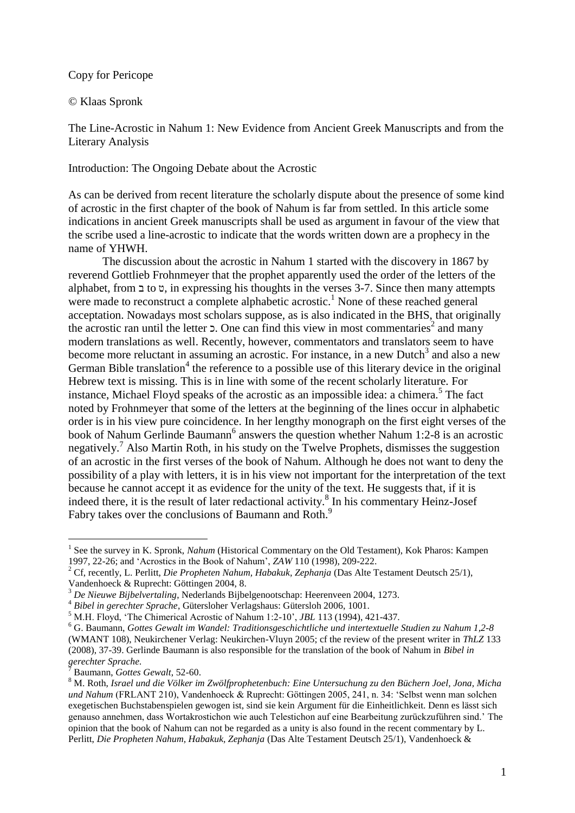Copy for Pericope

## © Klaas Spronk

The Line-Acrostic in Nahum 1: New Evidence from Ancient Greek Manuscripts and from the Literary Analysis

Introduction: The Ongoing Debate about the Acrostic

As can be derived from recent literature the scholarly dispute about the presence of some kind of acrostic in the first chapter of the book of Nahum is far from settled. In this article some indications in ancient Greek manuscripts shall be used as argument in favour of the view that the scribe used a line-acrostic to indicate that the words written down are a prophecy in the name of YHWH.

The discussion about the acrostic in Nahum 1 started with the discovery in 1867 by reverend Gottlieb Frohnmeyer that the prophet apparently used the order of the letters of the alphabet, from  $\exists$  to  $\upsilon$ , in expressing his thoughts in the verses 3-7. Since then many attempts were made to reconstruct a complete alphabetic acrostic.<sup>1</sup> None of these reached general acceptation. Nowadays most scholars suppose, as is also indicated in the BHS, that originally the acrostic ran until the letter  $\overline{z}$ . One can find this view in most commentaries<sup>2</sup> and many modern translations as well. Recently, however, commentators and translators seem to have become more reluctant in assuming an acrostic. For instance, in a new Dutch<sup>3</sup> and also a new German Bible translation<sup>4</sup> the reference to a possible use of this literary device in the original Hebrew text is missing. This is in line with some of the recent scholarly literature. For instance, Michael Floyd speaks of the acrostic as an impossible idea: a chimera.<sup>5</sup> The fact noted by Frohnmeyer that some of the letters at the beginning of the lines occur in alphabetic order is in his view pure coincidence. In her lengthy monograph on the first eight verses of the book of Nahum Gerlinde Baumann<sup>6</sup> answers the question whether Nahum 1:2-8 is an acrostic negatively.<sup>7</sup> Also Martin Roth, in his study on the Twelve Prophets, dismisses the suggestion of an acrostic in the first verses of the book of Nahum. Although he does not want to deny the possibility of a play with letters, it is in his view not important for the interpretation of the text because he cannot accept it as evidence for the unity of the text. He suggests that, if it is indeed there, it is the result of later redactional activity.<sup>8</sup> In his commentary Heinz-Josef Fabry takes over the conclusions of Baumann and Roth.<sup>9</sup>

<sup>&</sup>lt;sup>1</sup> See the survey in K. Spronk, *Nahum* (Historical Commentary on the Old Testament), Kok Pharos: Kampen 1997, 22-26; and "Acrostics in the Book of Nahum", *ZAW* 110 (1998), 209-222.

<sup>2</sup> Cf, recently, L. Perlitt, *Die Propheten Nahum, Habakuk, Zephanja* (Das Alte Testament Deutsch 25/1),

Vandenhoeck & Ruprecht: Göttingen 2004, 8.

<sup>3</sup> *De Nieuwe Bijbelvertaling*, Nederlands Bijbelgenootschap: Heerenveen 2004, 1273.

<sup>4</sup> *Bibel in gerechter Sprache*, Gütersloher Verlagshaus: Gütersloh 2006, 1001.

<sup>&</sup>lt;sup>5</sup> M.H. Floyd, 'The Chimerical Acrostic of Nahum 1:2-10', *JBL* 113 (1994), 421-437.

<sup>6</sup> G. Baumann, *Gottes Gewalt im Wandel: Traditionsgeschichtliche und intertextuelle Studien zu Nahum 1,2-8* (WMANT 108), Neukirchener Verlag: Neukirchen-Vluyn 2005; cf the review of the present writer in *ThLZ* 133 (2008), 37-39. Gerlinde Baumann is also responsible for the translation of the book of Nahum in *Bibel in gerechter Sprache.*

<sup>7</sup> Baumann, *Gottes Gewalt*, 52-60.

<sup>8</sup> M. Roth, *Israel und die Völker im Zwölfprophetenbuch: Eine Untersuchung zu den Büchern Joel, Jona, Micha und Nahum* (FRLANT 210), Vandenhoeck & Ruprecht: Göttingen 2005, 241, n. 34: "Selbst wenn man solchen exegetischen Buchstabenspielen gewogen ist, sind sie kein Argument für die Einheitlichkeit. Denn es lässt sich genauso annehmen, dass Wortakrostichon wie auch Telestichon auf eine Bearbeitung zurückzuführen sind." The opinion that the book of Nahum can not be regarded as a unity is also found in the recent commentary by L. Perlitt, *Die Propheten Nahum, Habakuk, Zephanja* (Das Alte Testament Deutsch 25/1), Vandenhoeck &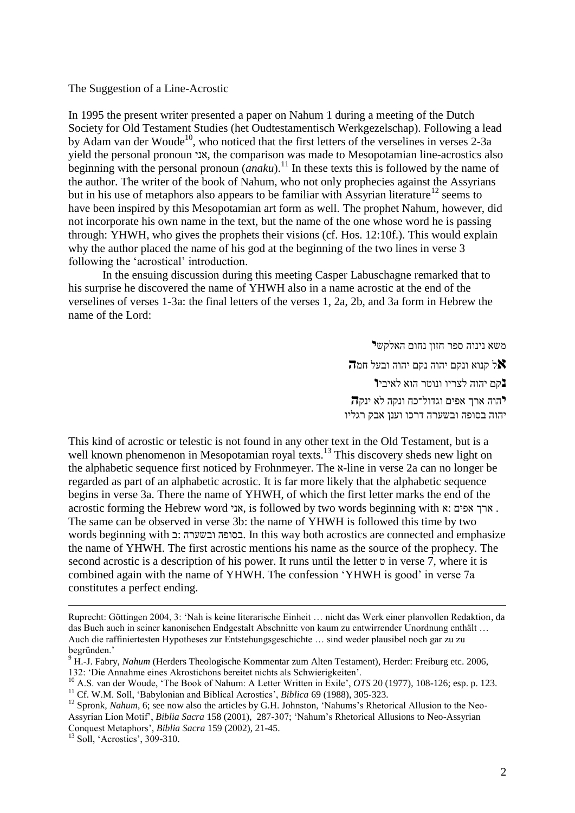The Suggestion of a Line-Acrostic

In 1995 the present writer presented a paper on Nahum 1 during a meeting of the Dutch Society for Old Testament Studies (het Oudtestamentisch Werkgezelschap). Following a lead by Adam van der Woude<sup>10</sup>, who noticed that the first letters of the verselines in verses 2-3a yield the personal pronoun אני, the comparison was made to Mesopotamian line-acrostics also beginning with the personal pronoun  $(\overline{anaku})$ .<sup>11</sup> In these texts this is followed by the name of the author. The writer of the book of Nahum, who not only prophecies against the Assyrians but in his use of metaphors also appears to be familiar with Assyrian literature<sup>12</sup> seems to have been inspired by this Mesopotamian art form as well. The prophet Nahum, however, did not incorporate his own name in the text, but the name of the one whose word he is passing through: YHWH, who gives the prophets their visions (cf. Hos. 12:10f.). This would explain why the author placed the name of his god at the beginning of the two lines in verse 3 following the "acrostical" introduction.

In the ensuing discussion during this meeting Casper Labuschagne remarked that to his surprise he discovered the name of YHWH also in a name acrostic at the end of the verselines of verses 1-3a: the final letters of the verses 1, 2a, 2b, and 3a form in Hebrew the name of the Lord:

> משא נינוה ספר חזון נחום האלקש**י א**ל קנוא ונקם יהוה נקם יהוה ובעל חמ**ה נ**קם יהוה לצריו ונוטר הוא לאיבי**ו י**הוה ארך אפים וגדול־כח ונקה לא ינק**ה** יהוה בסופה ובשערה דרכו וענן אבק רגליו

This kind of acrostic or telestic is not found in any other text in the Old Testament, but is a well known phenomenon in Mesopotamian royal texts.<sup>13</sup> This discovery sheds new light on the alphabetic sequence first noticed by Frohnmeyer. The א-line in verse 2a can no longer be regarded as part of an alphabetic acrostic. It is far more likely that the alphabetic sequence begins in verse 3a. There the name of YHWH, of which the first letter marks the end of the acrostic forming the Hebrew word אני, is followed by two words beginning with  $x:$  ארך אפים  $\cdot$ . The same can be observed in verse 3b: the name of YHWH is followed this time by two words beginning with ב: ובשערה בסופה. In this way both acrostics are connected and emphasize the name of YHWH. The first acrostic mentions his name as the source of the prophecy. The second acrostic is a description of his power. It runs until the letter ט in verse 7, where it is combined again with the name of YHWH. The confession "YHWH is good" in verse 7a constitutes a perfect ending.

<sup>11</sup> Cf. W.M. Soll, 'Babylonian and Biblical Acrostics', *Biblica* 69 (1988), 305-323.

<sup>12</sup> Spronk, *Nahum*, 6; see now also the articles by G.H. Johnston, 'Nahums's Rhetorical Allusion to the Neo-Assyrian Lion Motif", *Biblia Sacra* 158 (2001), 287-307; "Nahum"s Rhetorical Allusions to Neo-Assyrian Conquest Metaphors", *Biblia Sacra* 159 (2002), 21-45.

<sup>13</sup> Soll, 'Acrostics', 309-310.

 $\overline{a}$ 

Ruprecht: Göttingen 2004, 3: "Nah is keine literarische Einheit … nicht das Werk einer planvollen Redaktion, da das Buch auch in seiner kanonischen Endgestalt Abschnitte von kaum zu entwirrender Unordnung enthält … Auch die raffiniertesten Hypotheses zur Entstehungsgeschichte … sind weder plausibel noch gar zu zu begründen."

<sup>9</sup> H.-J. Fabry, *Nahum* (Herders Theologische Kommentar zum Alten Testament), Herder: Freiburg etc. 2006, 132: "Die Annahme eines Akrostichons bereitet nichts als Schwierigkeiten".

<sup>10</sup> A.S. van der Woude, "The Book of Nahum: A Letter Written in Exile", *OTS* 20 (1977), 108-126; esp. p. 123.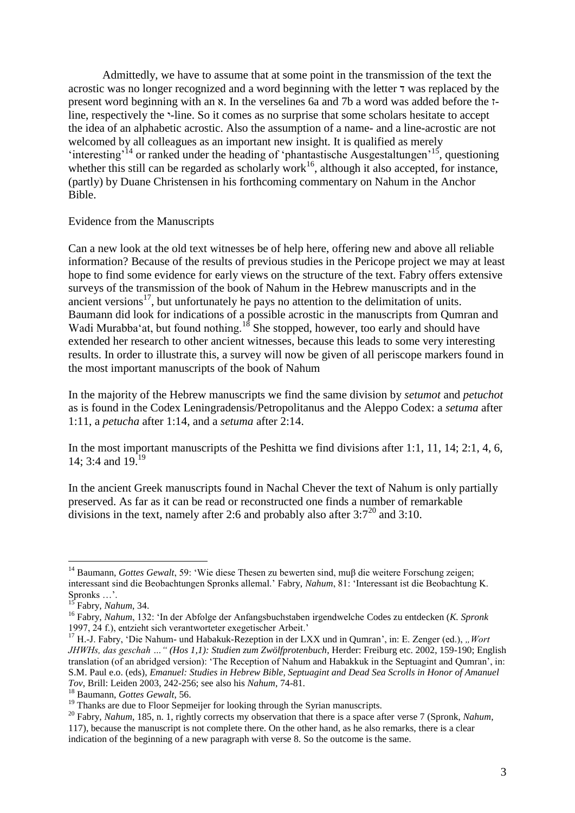Admittedly, we have to assume that at some point in the transmission of the text the acrostic was no longer recognized and a word beginning with the letter ד was replaced by the present word beginning with an א. In the verselines 6a and 7b a word was added before the זline, respectively the י-line. So it comes as no surprise that some scholars hesitate to accept the idea of an alphabetic acrostic. Also the assumption of a name- and a line-acrostic are not welcomed by all colleagues as an important new insight. It is qualified as merely 'interesting'<sup>14</sup> or ranked under the heading of 'phantastische Ausgestaltungen'<sup>15'</sup>, questioning whether this still can be regarded as scholarly work<sup>16</sup>, although it also accepted, for instance, (partly) by Duane Christensen in his forthcoming commentary on Nahum in the Anchor Bible.

## Evidence from the Manuscripts

Can a new look at the old text witnesses be of help here, offering new and above all reliable information? Because of the results of previous studies in the Pericope project we may at least hope to find some evidence for early views on the structure of the text. Fabry offers extensive surveys of the transmission of the book of Nahum in the Hebrew manuscripts and in the ancient versions $17$ , but unfortunately he pays no attention to the delimitation of units. Baumann did look for indications of a possible acrostic in the manuscripts from Qumran and Wadi Murabba'at, but found nothing.<sup>18</sup> She stopped, however, too early and should have extended her research to other ancient witnesses, because this leads to some very interesting results. In order to illustrate this, a survey will now be given of all periscope markers found in the most important manuscripts of the book of Nahum

In the majority of the Hebrew manuscripts we find the same division by *setumot* and *petuchot* as is found in the Codex Leningradensis/Petropolitanus and the Aleppo Codex: a *setuma* after 1:11, a *petucha* after 1:14, and a *setuma* after 2:14.

In the most important manuscripts of the Peshitta we find divisions after 1:1, 11, 14; 2:1, 4, 6, 14; 3:4 and 19.<sup>19</sup>

In the ancient Greek manuscripts found in Nachal Chever the text of Nahum is only partially preserved. As far as it can be read or reconstructed one finds a number of remarkable divisions in the text, namely after 2:6 and probably also after  $3:7^{20}$  and  $3:10$ .

<sup>14</sup> Baumann, *Gottes Gewalt*, 59: "Wie diese Thesen zu bewerten sind, muβ die weitere Forschung zeigen; interessant sind die Beobachtungen Spronks allemal." Fabry, *Nahum*, 81: "Interessant ist die Beobachtung K. Spronks  $\dots$ .

<sup>15</sup> Fabry, *Nahum*, 34.

<sup>16</sup> Fabry, *Nahum*, 132: "In der Abfolge der Anfangsbuchstaben irgendwelche Codes zu entdecken (*K. Spronk* 1997, 24 f.), entzieht sich verantworteter exegetischer Arbeit."

<sup>17</sup> H.-J. Fabry, "Die Nahum- und Habakuk-Rezeption in der LXX und in Qumran", in: E. Zenger (ed.), *"Wort JHWHs, das geschah …" (Hos 1,1): Studien zum Zwölfprotenbuch*, Herder: Freiburg etc. 2002, 159-190; English translation (of an abridged version): "The Reception of Nahum and Habakkuk in the Septuagint and Qumran", in: S.M. Paul e.o. (eds), *Emanuel: Studies in Hebrew Bible, Septuagint and Dead Sea Scrolls in Honor of Amanuel Tov*, Brill: Leiden 2003, 242-256; see also his *Nahum*, 74-81.

<sup>18</sup> Baumann, *Gottes Gewalt*, 56.

<sup>&</sup>lt;sup>19</sup> Thanks are due to Floor Sepmeijer for looking through the Syrian manuscripts.

<sup>&</sup>lt;sup>20</sup> Fabry, *Nahum*, 185, n. 1, rightly corrects my observation that there is a space after verse 7 (Spronk, *Nahum*, 117), because the manuscript is not complete there. On the other hand, as he also remarks, there is a clear indication of the beginning of a new paragraph with verse 8. So the outcome is the same.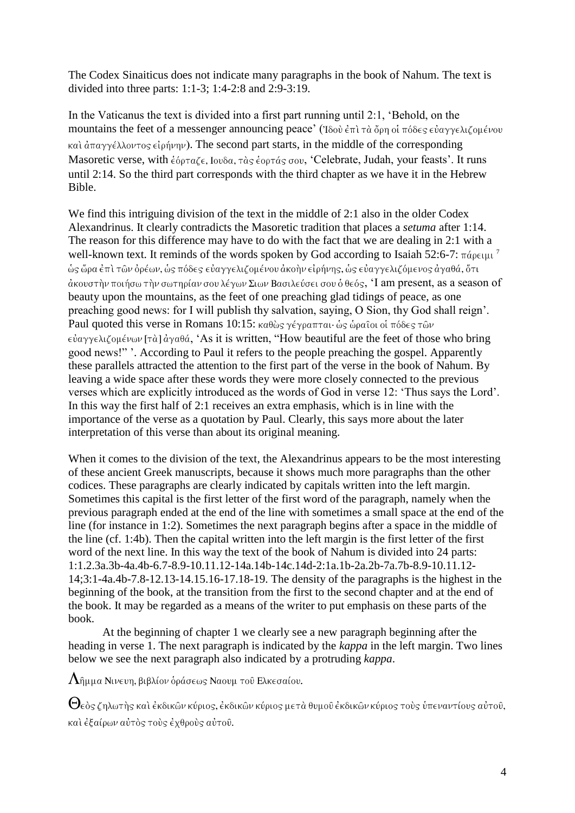The Codex Sinaiticus does not indicate many paragraphs in the book of Nahum. The text is divided into three parts: 1:1-3; 1:4-2:8 and 2:9-3:19.

In the Vaticanus the text is divided into a first part running until 2:1, "Behold, on the mountains the feet of a messenger announcing peace' (Ίδου έπι τα όρη οι πόδες ευαγγελιζομένου  $\kappa$ a)  $d\pi a \gamma \gamma \epsilon \lambda \lambda \omega \tau$  os  $\epsilon$  ( $\omega \gamma \nu$ ). The second part starts, in the middle of the corresponding Masoretic verse, with έόρταζε, Ιουδα, τας έορτάς σου, 'Celebrate, Judah, your feasts'. It runs until 2:14. So the third part corresponds with the third chapter as we have it in the Hebrew Bible.

We find this intriguing division of the text in the middle of 2:1 also in the older Codex Alexandrinus. It clearly contradicts the Masoretic tradition that places a *setuma* after 1:14. The reason for this difference may have to do with the fact that we are dealing in 2:1 with a well-known text. It reminds of the words spoken by God according to Isaiah 52:6-7:  $\pi \acute{a}$  $\rho \epsilon \mu \nu$ <sup>7</sup> ώς ὥρα ἐπὶ τῶν ὀρέων, ὡς πόδες εὐαγγελιζομένου ἀκοὴν εἰρήνης, ὡς εὐαγγελιζόμενος ἀγαθά, ὅτι  $\alpha$ κουστήν ποιήσω τήν σωτηρίαν σου λέγων Σιων Βασιλεύσει σου ό θεός, 'I am present, as a season of beauty upon the mountains, as the feet of one preaching glad tidings of peace, as one preaching good news: for I will publish thy salvation, saying, O Sion, thy God shall reign". Paul quoted this verse in Romans 10:15:  $\kappa a \theta \omega s$   $\gamma \epsilon \gamma \rho a \pi \tau a \cdot \omega s \omega a \hat{\rho} a \hat{\rho} a$  oi  $\pi \delta \delta \epsilon s \tau \hat{\omega} \nu$  $\epsilon \dot{\nu}$   $\alpha \gamma \gamma \epsilon \lambda \iota \zeta$  on  $\epsilon \nu \omega \nu$  [ $\tau \dot{\alpha}$ ]  $\dot{\alpha} \gamma \alpha \theta \dot{\alpha}$ , 'As it is written, "How beautiful are the feet of those who bring good news!" ". According to Paul it refers to the people preaching the gospel. Apparently these parallels attracted the attention to the first part of the verse in the book of Nahum. By leaving a wide space after these words they were more closely connected to the previous verses which are explicitly introduced as the words of God in verse 12: "Thus says the Lord". In this way the first half of 2:1 receives an extra emphasis, which is in line with the importance of the verse as a quotation by Paul. Clearly, this says more about the later interpretation of this verse than about its original meaning.

When it comes to the division of the text, the Alexandrinus appears to be the most interesting of these ancient Greek manuscripts, because it shows much more paragraphs than the other codices. These paragraphs are clearly indicated by capitals written into the left margin. Sometimes this capital is the first letter of the first word of the paragraph, namely when the previous paragraph ended at the end of the line with sometimes a small space at the end of the line (for instance in 1:2). Sometimes the next paragraph begins after a space in the middle of the line (cf. 1:4b). Then the capital written into the left margin is the first letter of the first word of the next line. In this way the text of the book of Nahum is divided into 24 parts: 1:1.2.3a.3b-4a.4b-6.7-8.9-10.11.12-14a.14b-14c.14d-2:1a.1b-2a.2b-7a.7b-8.9-10.11.12- 14;3:1-4a.4b-7.8-12.13-14.15.16-17.18-19. The density of the paragraphs is the highest in the beginning of the book, at the transition from the first to the second chapter and at the end of the book. It may be regarded as a means of the writer to put emphasis on these parts of the book.

At the beginning of chapter 1 we clearly see a new paragraph beginning after the heading in verse 1. The next paragraph is indicated by the *kappa* in the left margin. Two lines below we see the next paragraph also indicated by a protruding *kappa*.

 $\Lambda$ ῆμμα Νινευη, βιβλίον ὁράσεως Ναουμ τοῦ Ελκεσαίου.

 $\Theta$ εὸς ζηλωτὴς καὶ ἐκδικῶν κύριος, ἐκδικῶν κύριος μετὰ θυμοῦ ἐκδικῶν κύριος τοὺς ὑπεναντίους αὐτοῦ, και έξαίρων αύτος τους έχθρους αύτου.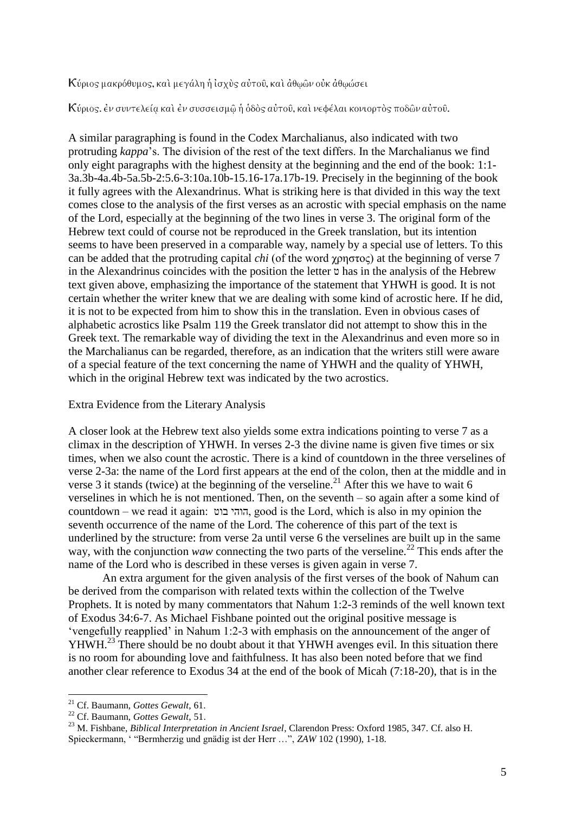Κύριος μακρόθυμος, και μεγάλη ή ισχυς αυτου, και άθωων ουκ αθωώσει

Κύριος. έν συντελεία και έν συσσεισμώ ή όδος αύτου, και νεφέλαι κονιορτός ποδών αύτου.

A similar paragraphing is found in the Codex Marchalianus, also indicated with two protruding *kappa*"s. The division of the rest of the text differs. In the Marchalianus we find only eight paragraphs with the highest density at the beginning and the end of the book: 1:1- 3a.3b-4a.4b-5a.5b-2:5.6-3:10a.10b-15.16-17a.17b-19. Precisely in the beginning of the book it fully agrees with the Alexandrinus. What is striking here is that divided in this way the text comes close to the analysis of the first verses as an acrostic with special emphasis on the name of the Lord, especially at the beginning of the two lines in verse 3. The original form of the Hebrew text could of course not be reproduced in the Greek translation, but its intention seems to have been preserved in a comparable way, namely by a special use of letters. To this can be added that the protruding capital *chi* (of the word χρηστος) at the beginning of verse 7 in the Alexandrinus coincides with the position the letter ט has in the analysis of the Hebrew text given above, emphasizing the importance of the statement that YHWH is good. It is not certain whether the writer knew that we are dealing with some kind of acrostic here. If he did, it is not to be expected from him to show this in the translation. Even in obvious cases of alphabetic acrostics like Psalm 119 the Greek translator did not attempt to show this in the Greek text. The remarkable way of dividing the text in the Alexandrinus and even more so in the Marchalianus can be regarded, therefore, as an indication that the writers still were aware of a special feature of the text concerning the name of YHWH and the quality of YHWH, which in the original Hebrew text was indicated by the two acrostics.

Extra Evidence from the Literary Analysis

A closer look at the Hebrew text also yields some extra indications pointing to verse 7 as a climax in the description of YHWH. In verses 2-3 the divine name is given five times or six times, when we also count the acrostic. There is a kind of countdown in the three verselines of verse 2-3a: the name of the Lord first appears at the end of the colon, then at the middle and in verse 3 it stands (twice) at the beginning of the verseline.<sup>21</sup> After this we have to wait 6 verselines in which he is not mentioned. Then, on the seventh – so again after a some kind of countdown – we read it again: בוט הוהי, good is the Lord, which is also in my opinion the seventh occurrence of the name of the Lord. The coherence of this part of the text is underlined by the structure: from verse 2a until verse 6 the verselines are built up in the same way, with the conjunction *waw* connecting the two parts of the verseline.<sup>22</sup> This ends after the name of the Lord who is described in these verses is given again in verse 7.

An extra argument for the given analysis of the first verses of the book of Nahum can be derived from the comparison with related texts within the collection of the Twelve Prophets. It is noted by many commentators that Nahum 1:2-3 reminds of the well known text of Exodus 34:6-7. As Michael Fishbane pointed out the original positive message is "vengefully reapplied" in Nahum 1:2-3 with emphasis on the announcement of the anger of YHWH.<sup>23</sup> There should be no doubt about it that YHWH avenges evil. In this situation there is no room for abounding love and faithfulness. It has also been noted before that we find another clear reference to Exodus 34 at the end of the book of Micah (7:18-20), that is in the

<sup>21</sup> Cf. Baumann, *Gottes Gewalt*, 61.

<sup>22</sup> Cf. Baumann, *Gottes Gewalt*, 51.

<sup>23</sup> M. Fishbane, *Biblical Interpretation in Ancient Israel*, Clarendon Press: Oxford 1985, 347. Cf. also H. Spieckermann, " "Bermherzig und gnädig ist der Herr …", *ZAW* 102 (1990), 1-18.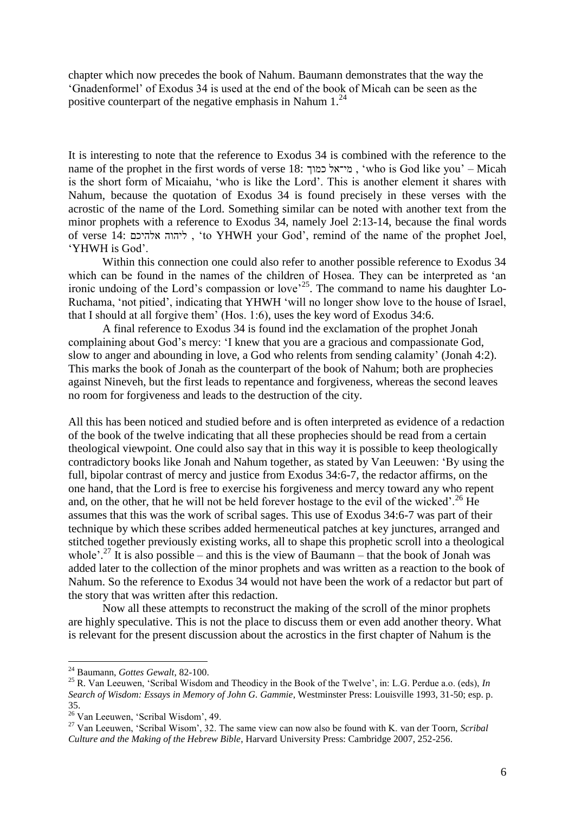chapter which now precedes the book of Nahum. Baumann demonstrates that the way the "Gnadenformel" of Exodus 34 is used at the end of the book of Micah can be seen as the positive counterpart of the negative emphasis in Nahum  $1.^{24}$ 

It is interesting to note that the reference to Exodus 34 is combined with the reference to the name of the prophet in the first words of verse 18: כמוך מי־אל ," who is God like you" – Micah is the short form of Micaiahu, "who is like the Lord". This is another element it shares with Nahum, because the quotation of Exodus 34 is found precisely in these verses with the acrostic of the name of the Lord. Something similar can be noted with another text from the minor prophets with a reference to Exodus 34, namely Joel 2:13-14, because the final words of verse 14: אלהיכם ליהוה ," to YHWH your God", remind of the name of the prophet Joel, 'YHWH is God'.

Within this connection one could also refer to another possible reference to Exodus 34 which can be found in the names of the children of Hosea. They can be interpreted as 'an ironic undoing of the Lord's compassion or love<sup> $25$ </sup>. The command to name his daughter Lo-Ruchama, "not pitied", indicating that YHWH "will no longer show love to the house of Israel, that I should at all forgive them" (Hos. 1:6), uses the key word of Exodus 34:6.

A final reference to Exodus 34 is found ind the exclamation of the prophet Jonah complaining about God"s mercy: "I knew that you are a gracious and compassionate God, slow to anger and abounding in love, a God who relents from sending calamity' (Jonah 4:2). This marks the book of Jonah as the counterpart of the book of Nahum; both are prophecies against Nineveh, but the first leads to repentance and forgiveness, whereas the second leaves no room for forgiveness and leads to the destruction of the city.

All this has been noticed and studied before and is often interpreted as evidence of a redaction of the book of the twelve indicating that all these prophecies should be read from a certain theological viewpoint. One could also say that in this way it is possible to keep theologically contradictory books like Jonah and Nahum together, as stated by Van Leeuwen: "By using the full, bipolar contrast of mercy and justice from Exodus 34:6-7, the redactor affirms, on the one hand, that the Lord is free to exercise his forgiveness and mercy toward any who repent and, on the other, that he will not be held forever hostage to the evil of the wicked'.<sup>26</sup> He assumes that this was the work of scribal sages. This use of Exodus 34:6-7 was part of their technique by which these scribes added hermeneutical patches at key junctures, arranged and stitched together previously existing works, all to shape this prophetic scroll into a theological whole'.<sup>27</sup> It is also possible – and this is the view of Baumann – that the book of Jonah was added later to the collection of the minor prophets and was written as a reaction to the book of Nahum. So the reference to Exodus 34 would not have been the work of a redactor but part of the story that was written after this redaction.

Now all these attempts to reconstruct the making of the scroll of the minor prophets are highly speculative. This is not the place to discuss them or even add another theory. What is relevant for the present discussion about the acrostics in the first chapter of Nahum is the

<sup>24</sup> Baumann, *Gottes Gewalt*, 82-100.

<sup>&</sup>lt;sup>25</sup> R. Van Leeuwen, 'Scribal Wisdom and Theodicy in the Book of the Twelve', in: L.G. Perdue a.o. (eds), *In Search of Wisdom: Essays in Memory of John G. Gammie*, Westminster Press: Louisville 1993, 31-50; esp. p. 35.

<sup>&</sup>lt;sup>26</sup> Van Leeuwen, 'Scribal Wisdom', 49.

<sup>27</sup> Van Leeuwen, "Scribal Wisom", 32. The same view can now also be found with K. van der Toorn, *Scribal Culture and the Making of the Hebrew Bible*, Harvard University Press: Cambridge 2007, 252-256.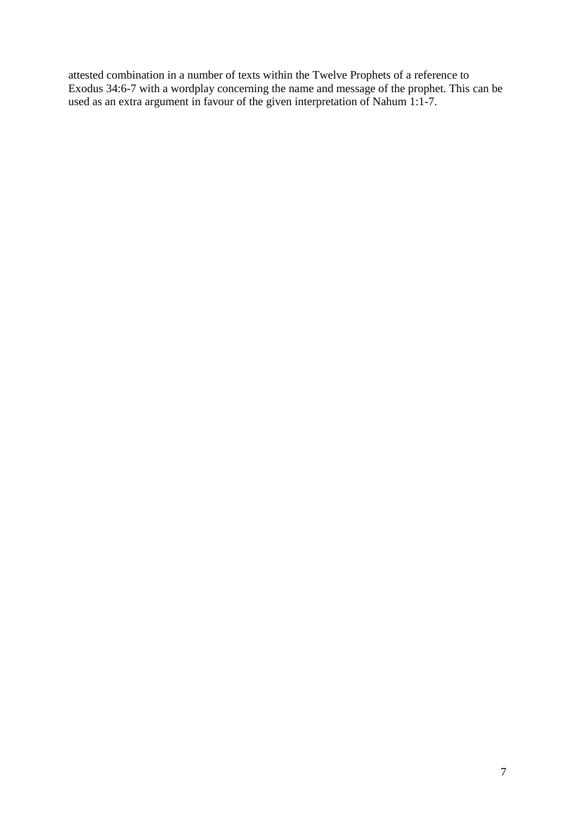attested combination in a number of texts within the Twelve Prophets of a reference to Exodus 34:6-7 with a wordplay concerning the name and message of the prophet. This can be used as an extra argument in favour of the given interpretation of Nahum 1:1-7.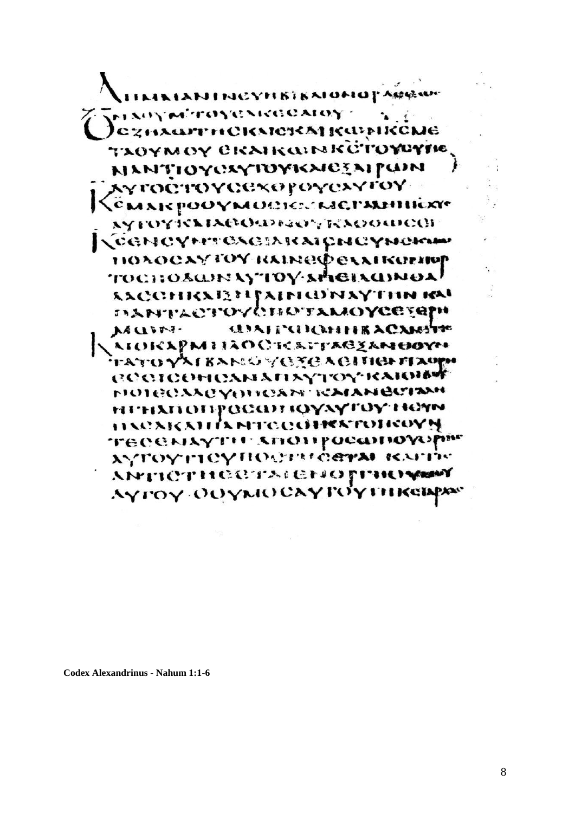AKIANTNCYHBIKAIOMOPARAM **MARYWETOYONKOOAIOY** )с знаяти склекај карпксме Taoymoy eraikginköʻlo**ycyh**e NANTIOYOXYIDYKAICEAIPUIN γ**ΓΟΩΤΌΥΩΘΧΘΡΟΥΩΣΥΓΟΥ** CMAR POOYMOCHECKIEPALIHIEXY хүтоүзскихеологаат/кхоолосо **KCGNCYMTOXGIARAICNCYNCKW** HOROCAY TOY RAINED EXAIRDENT TOCHOSWINAYTOY-SHEIAGINOA! SACCHIKABEIJAINIONAYTHN IM **DANTACTOVOBOTAMOYCESQPH GIALTORIALE ACAMPETER** VY CIRLES. AIOKAPMIIAOCKAPTACZANOOYH FATO YAI BANG YOTEA GITIGHTAOPH **COOLOGERSMATIXYTOY KARDING NOTECAACYOUGAN ICAIANGCIAM** ні інхпопросан фудутоў неям HACAKAH IA MTGQOHKATOHGOYN TECEMAYTH ANOTHOROHOWSPin хутоуттеупости саты каты ANTICTHOOTAIGNOFINOS Аүтөү ООумослугоутткей

**Codex Alexandrinus - Nahum 1:1-6**

۰.